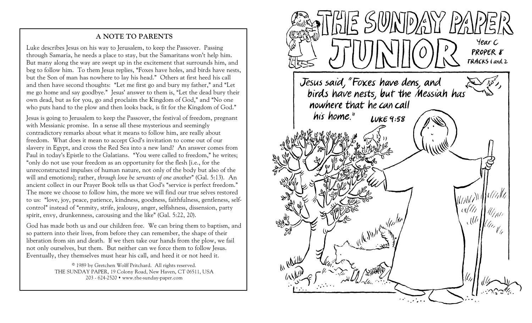## **A NOTE TO PARENTS**

Luke describes Jesus on his way to Jerusalem, to keep the Passover. Passing through Samaria, he needs a place to stay, but the Samaritans won't help him. But many along the way are swept up in the excitement that surrounds him, and beg to follow him. To them Jesus replies, "Foxes have holes, and birds have nests, but the Son of man has nowhere to lay his head." Others at first heed his call and then have second thoughts: "Let me first go and bury my father," and "Let me go home and say goodbye." Jesus' answer to them is, "Let the dead bury their own dead, but as for you, go and proclaim the Kingdom of God," and "No one who puts hand to the plow and then looks back, is fit for the Kingdom of God."

Jesus is going to Jerusalem to keep the Passover, the festival of freedom, pregnant with Messianic promise. In a sense all these mysterious and seemingly contradictory remarks about what it means to follow him, are really about freedom. What does it mean to accept God's invitation to come out of our slavery in Egypt, and cross the Red Sea into a new land? An answer comes from Paul in today's Epistle to the Galatians. "You were called to freedom," he writes; "only do not use your freedom as an opportunity for the flesh [i.e., for the unreconstructed impulses of human nature, not only of the body but also of the will and emotions]; rather, *through love be servants of one another*" (Gal. 5:13). An ancient collect in our Prayer Book tells us that God's "service is perfect freedom." The more we choose to follow him, the more we will find our true selves restored to us: "love, joy, peace, patience, kindness, goodness, faithfulness, gentleness, selfcontrol" instead of "enmity, strife, jealousy, anger, selfishness, dissension, party spirit, envy, drunkenness, carousing and the like" (Gal. 5:22, 20).

God has made both us and our children free. We can bring them to baptism, and so pattern into their lives, from before they can remember, the shape of their liberation from sin and death. If we then take our hands from the plow, we fail not only ourselves, but them. But neither can we force them to follow Jesus. Eventually, they themselves must hear his call, and heed it or not heed it.

> © 1989 by Gretchen Wolff Pritchard. All rights reserved. THE SUNDAY PAPER, 19 Colony Road, New Haven, CT 06511, USA 203 - 624-2520 www.the-sunday-paper.com